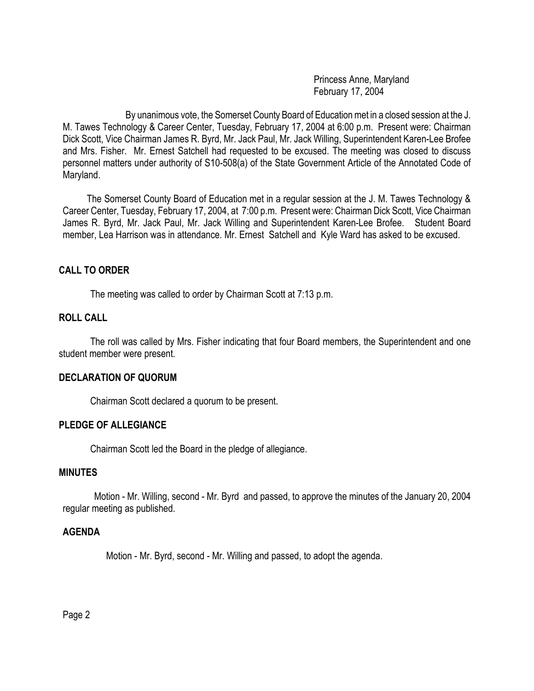Princess Anne, Maryland February 17, 2004

By unanimous vote, the Somerset County Board of Education met in a closed session at the J. M. Tawes Technology & Career Center, Tuesday, February 17, 2004 at 6:00 p.m. Present were: Chairman Dick Scott, Vice Chairman James R. Byrd, Mr. Jack Paul, Mr. Jack Willing, Superintendent Karen-Lee Brofee and Mrs. Fisher. Mr. Ernest Satchell had requested to be excused. The meeting was closed to discuss personnel matters under authority of S10-508(a) of the State Government Article of the Annotated Code of Maryland.

 The Somerset County Board of Education met in a regular session at the J. M. Tawes Technology & Career Center, Tuesday, February 17, 2004, at 7:00 p.m. Present were: Chairman Dick Scott, Vice Chairman James R. Byrd, Mr. Jack Paul, Mr. Jack Willing and Superintendent Karen-Lee Brofee. Student Board member, Lea Harrison was in attendance. Mr. Ernest Satchell and Kyle Ward has asked to be excused.

### **CALL TO ORDER**

The meeting was called to order by Chairman Scott at 7:13 p.m.

## **ROLL CALL**

The roll was called by Mrs. Fisher indicating that four Board members, the Superintendent and one student member were present.

#### **DECLARATION OF QUORUM**

Chairman Scott declared a quorum to be present.

#### **PLEDGE OF ALLEGIANCE**

Chairman Scott led the Board in the pledge of allegiance.

#### **MINUTES**

Motion - Mr. Willing, second - Mr. Byrd and passed, to approve the minutes of the January 20, 2004 regular meeting as published.

#### **AGENDA**

Motion - Mr. Byrd, second - Mr. Willing and passed, to adopt the agenda.

Page 2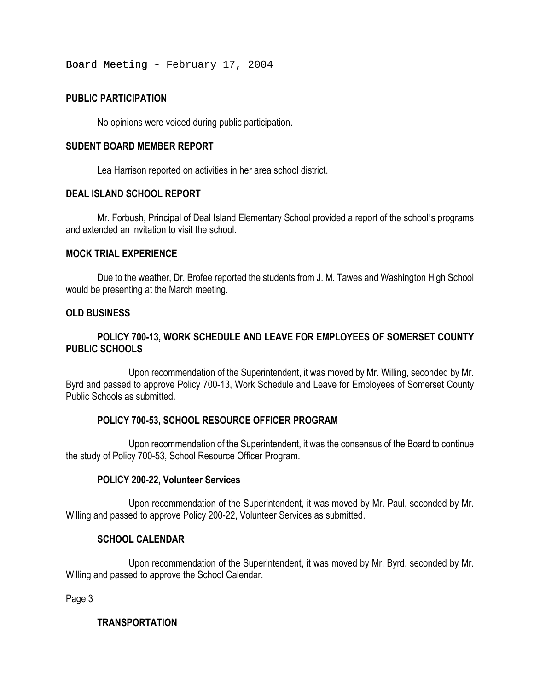Board Meeting - February 17, 2004

## **PUBLIC PARTICIPATION**

No opinions were voiced during public participation.

#### **SUDENT BOARD MEMBER REPORT**

Lea Harrison reported on activities in her area school district.

#### **DEAL ISLAND SCHOOL REPORT**

Mr. Forbush, Principal of Deal Island Elementary School provided a report of the school's programs and extended an invitation to visit the school.

### **MOCK TRIAL EXPERIENCE**

Due to the weather, Dr. Brofee reported the students from J. M. Tawes and Washington High School would be presenting at the March meeting.

### **OLD BUSINESS**

## **POLICY 700-13, WORK SCHEDULE AND LEAVE FOR EMPLOYEES OF SOMERSET COUNTY PUBLIC SCHOOLS**

Upon recommendation of the Superintendent, it was moved by Mr. Willing, seconded by Mr. Byrd and passed to approve Policy 700-13, Work Schedule and Leave for Employees of Somerset County Public Schools as submitted.

### **POLICY 700-53, SCHOOL RESOURCE OFFICER PROGRAM**

Upon recommendation of the Superintendent, it was the consensus of the Board to continue the study of Policy 700-53, School Resource Officer Program.

### **POLICY 200-22, Volunteer Services**

Upon recommendation of the Superintendent, it was moved by Mr. Paul, seconded by Mr. Willing and passed to approve Policy 200-22, Volunteer Services as submitted.

### **SCHOOL CALENDAR**

 Upon recommendation of the Superintendent, it was moved by Mr. Byrd, seconded by Mr. Willing and passed to approve the School Calendar.

Page 3

### **TRANSPORTATION**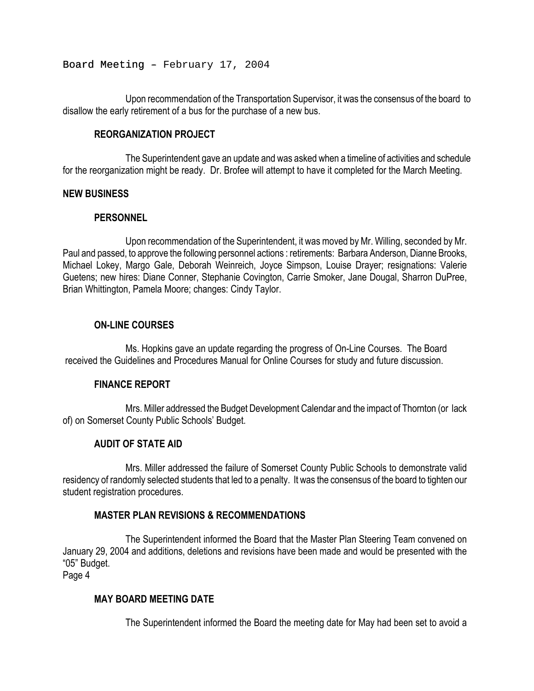Board Meeting - February 17, 2004

 Upon recommendation of the Transportation Supervisor, it was the consensus of the board to disallow the early retirement of a bus for the purchase of a new bus.

### **REORGANIZATION PROJECT**

The Superintendent gave an update and was asked when a timeline of activities and schedule for the reorganization might be ready. Dr. Brofee will attempt to have it completed for the March Meeting.

### **NEW BUSINESS**

## **PERSONNEL**

Upon recommendation of the Superintendent, it was moved by Mr. Willing, seconded by Mr. Paul and passed, to approve the following personnel actions : retirements: Barbara Anderson, Dianne Brooks, Michael Lokey, Margo Gale, Deborah Weinreich, Joyce Simpson, Louise Drayer; resignations: Valerie Guetens; new hires: Diane Conner, Stephanie Covington, Carrie Smoker, Jane Dougal, Sharron DuPree, Brian Whittington, Pamela Moore; changes: Cindy Taylor.

# **ON-LINE COURSES**

Ms. Hopkins gave an update regarding the progress of On-Line Courses. The Board received the Guidelines and Procedures Manual for Online Courses for study and future discussion.

## **FINANCE REPORT**

Mrs. Miller addressed the Budget Development Calendar and the impact of Thornton (or lack of) on Somerset County Public Schools' Budget.

# **AUDIT OF STATE AID**

Mrs. Miller addressed the failure of Somerset County Public Schools to demonstrate valid residency of randomly selected students that led to a penalty. It was the consensus of the board to tighten our student registration procedures.

# **MASTER PLAN REVISIONS & RECOMMENDATIONS**

The Superintendent informed the Board that the Master Plan Steering Team convened on January 29, 2004 and additions, deletions and revisions have been made and would be presented with the "05" Budget.

Page 4

# **MAY BOARD MEETING DATE**

The Superintendent informed the Board the meeting date for May had been set to avoid a